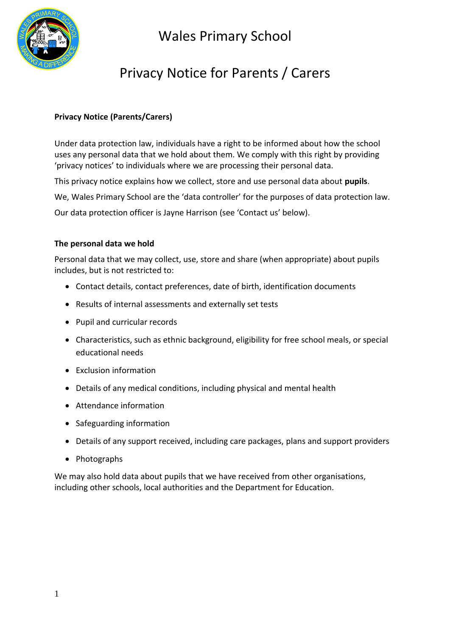

## Privacy Notice for Parents / Carers

### **Privacy Notice (Parents/Carers)**

Under data protection law, individuals have a right to be informed about how the school uses any personal data that we hold about them. We comply with this right by providing 'privacy notices' to individuals where we are processing their personal data.

This privacy notice explains how we collect, store and use personal data about **pupils**.

We, Wales Primary School are the 'data controller' for the purposes of data protection law.

Our data protection officer is Jayne Harrison (see 'Contact us' below).

#### **The personal data we hold**

Personal data that we may collect, use, store and share (when appropriate) about pupils includes, but is not restricted to:

- Contact details, contact preferences, date of birth, identification documents
- Results of internal assessments and externally set tests
- Pupil and curricular records
- Characteristics, such as ethnic background, eligibility for free school meals, or special educational needs
- Exclusion information
- Details of any medical conditions, including physical and mental health
- Attendance information
- Safeguarding information
- Details of any support received, including care packages, plans and support providers
- Photographs

We may also hold data about pupils that we have received from other organisations, including other schools, local authorities and the Department for Education.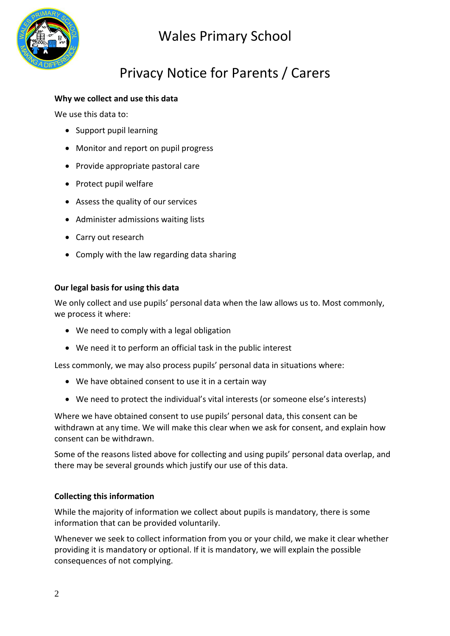

## Privacy Notice for Parents / Carers

### **Why we collect and use this data**

We use this data to:

- Support pupil learning
- Monitor and report on pupil progress
- Provide appropriate pastoral care
- Protect pupil welfare
- Assess the quality of our services
- Administer admissions waiting lists
- Carry out research
- Comply with the law regarding data sharing

### **Our legal basis for using this data**

We only collect and use pupils' personal data when the law allows us to. Most commonly, we process it where:

- We need to comply with a legal obligation
- We need it to perform an official task in the public interest

Less commonly, we may also process pupils' personal data in situations where:

- We have obtained consent to use it in a certain way
- We need to protect the individual's vital interests (or someone else's interests)

Where we have obtained consent to use pupils' personal data, this consent can be withdrawn at any time. We will make this clear when we ask for consent, and explain how consent can be withdrawn.

Some of the reasons listed above for collecting and using pupils' personal data overlap, and there may be several grounds which justify our use of this data.

### **Collecting this information**

While the majority of information we collect about pupils is mandatory, there is some information that can be provided voluntarily.

Whenever we seek to collect information from you or your child, we make it clear whether providing it is mandatory or optional. If it is mandatory, we will explain the possible consequences of not complying.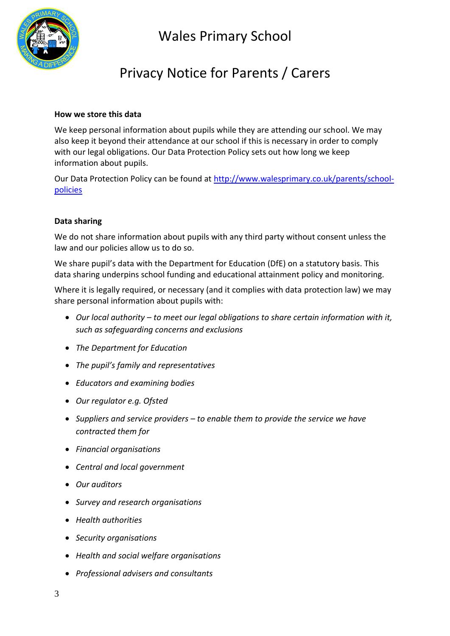

### Privacy Notice for Parents / Carers

#### **How we store this data**

We keep personal information about pupils while they are attending our school. We may also keep it beyond their attendance at our school if this is necessary in order to comply with our legal obligations. Our Data Protection Policy sets out how long we keep information about pupils.

Our Data Protection Policy can be found at [http://www.walesprimary.co.uk/parents/school](http://www.walesprimary.co.uk/parents/school-policies)[policies](http://www.walesprimary.co.uk/parents/school-policies)

#### **Data sharing**

We do not share information about pupils with any third party without consent unless the law and our policies allow us to do so.

We share pupil's data with the Department for Education (DfE) on a statutory basis. This data sharing underpins school funding and educational attainment policy and monitoring.

Where it is legally required, or necessary (and it complies with data protection law) we may share personal information about pupils with:

- *Our local authority – to meet our legal obligations to share certain information with it, such as safeguarding concerns and exclusions*
- *The Department for Education*
- *The pupil's family and representatives*
- *Educators and examining bodies*
- *Our regulator e.g. Ofsted*
- *Suppliers and service providers – to enable them to provide the service we have contracted them for*
- *Financial organisations*
- *Central and local government*
- *Our auditors*
- *Survey and research organisations*
- *Health authorities*
- *Security organisations*
- *Health and social welfare organisations*
- *Professional advisers and consultants*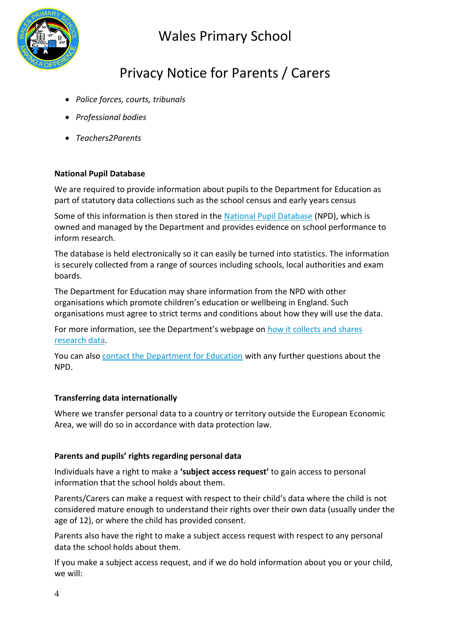

## Privacy Notice for Parents / Carers

- *Police forces, courts, tribunals*
- *Professional bodies*
- *Teachers2Parents*

### **National Pupil Database**

We are required to provide information about pupils to the Department for Education as part of statutory data collections such as the school census and early years census

Some of this information is then stored in the [National Pupil Database](https://www.gov.uk/government/publications/national-pupil-database-user-guide-and-supporting-information) (NPD), which is owned and managed by the Department and provides evidence on school performance to inform research.

The database is held electronically so it can easily be turned into statistics. The information is securely collected from a range of sources including schools, local authorities and exam boards.

The Department for Education may share information from the NPD with other organisations which promote children's education or wellbeing in England. Such organisations must agree to strict terms and conditions about how they will use the data.

For more information, see the Department's webpage on [how it collects and shares](https://www.gov.uk/data-protection-how-we-collect-and-share-research-data)  [research data.](https://www.gov.uk/data-protection-how-we-collect-and-share-research-data)

You can also [contact the Department for Education](https://www.gov.uk/contact-dfe) with any further questions about the NPD.

#### **Transferring data internationally**

Where we transfer personal data to a country or territory outside the European Economic Area, we will do so in accordance with data protection law.

#### **Parents and pupils' rights regarding personal data**

Individuals have a right to make a **'subject access request'** to gain access to personal information that the school holds about them.

Parents/Carers can make a request with respect to their child's data where the child is not considered mature enough to understand their rights over their own data (usually under the age of 12), or where the child has provided consent.

Parents also have the right to make a subject access request with respect to any personal data the school holds about them.

If you make a subject access request, and if we do hold information about you or your child, we will: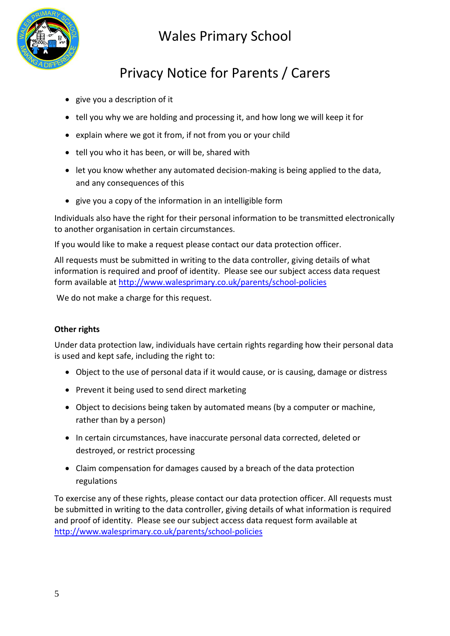

# Privacy Notice for Parents / Carers

- give you a description of it
- tell you why we are holding and processing it, and how long we will keep it for
- explain where we got it from, if not from you or your child
- tell you who it has been, or will be, shared with
- let you know whether any automated decision-making is being applied to the data, and any consequences of this
- give you a copy of the information in an intelligible form

Individuals also have the right for their personal information to be transmitted electronically to another organisation in certain circumstances.

If you would like to make a request please contact our data protection officer.

All requests must be submitted in writing to the data controller, giving details of what information is required and proof of identity. Please see our subject access data request form available at<http://www.walesprimary.co.uk/parents/school-policies>

We do not make a charge for this request.

#### **Other rights**

Under data protection law, individuals have certain rights regarding how their personal data is used and kept safe, including the right to:

- Object to the use of personal data if it would cause, or is causing, damage or distress
- Prevent it being used to send direct marketing
- Object to decisions being taken by automated means (by a computer or machine, rather than by a person)
- In certain circumstances, have inaccurate personal data corrected, deleted or destroyed, or restrict processing
- Claim compensation for damages caused by a breach of the data protection regulations

To exercise any of these rights, please contact our data protection officer. All requests must be submitted in writing to the data controller, giving details of what information is required and proof of identity. Please see our subject access data request form available at <http://www.walesprimary.co.uk/parents/school-policies>